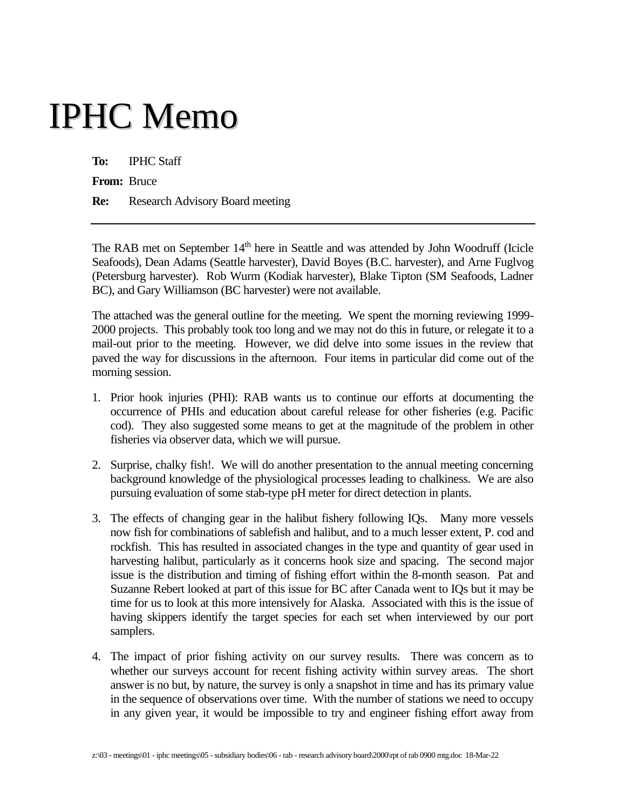# IPHC Memo

**To:** IPHC Staff

**From:** Bruce

**Re:** Research Advisory Board meeting

The RAB met on September 14<sup>th</sup> here in Seattle and was attended by John Woodruff (Icicle Seafoods), Dean Adams (Seattle harvester), David Boyes (B.C. harvester), and Arne Fuglvog (Petersburg harvester). Rob Wurm (Kodiak harvester), Blake Tipton (SM Seafoods, Ladner BC), and Gary Williamson (BC harvester) were not available.

The attached was the general outline for the meeting. We spent the morning reviewing 1999- 2000 projects. This probably took too long and we may not do this in future, or relegate it to a mail-out prior to the meeting. However, we did delve into some issues in the review that paved the way for discussions in the afternoon. Four items in particular did come out of the morning session.

- 1. Prior hook injuries (PHI): RAB wants us to continue our efforts at documenting the occurrence of PHIs and education about careful release for other fisheries (e.g. Pacific cod). They also suggested some means to get at the magnitude of the problem in other fisheries via observer data, which we will pursue.
- 2. Surprise, chalky fish!. We will do another presentation to the annual meeting concerning background knowledge of the physiological processes leading to chalkiness. We are also pursuing evaluation of some stab-type pH meter for direct detection in plants.
- 3. The effects of changing gear in the halibut fishery following IQs. Many more vessels now fish for combinations of sablefish and halibut, and to a much lesser extent, P. cod and rockfish. This has resulted in associated changes in the type and quantity of gear used in harvesting halibut, particularly as it concerns hook size and spacing. The second major issue is the distribution and timing of fishing effort within the 8-month season. Pat and Suzanne Rebert looked at part of this issue for BC after Canada went to IQs but it may be time for us to look at this more intensively for Alaska. Associated with this is the issue of having skippers identify the target species for each set when interviewed by our port samplers.
- 4. The impact of prior fishing activity on our survey results. There was concern as to whether our surveys account for recent fishing activity within survey areas. The short answer is no but, by nature, the survey is only a snapshot in time and has its primary value in the sequence of observations over time. With the number of stations we need to occupy in any given year, it would be impossible to try and engineer fishing effort away from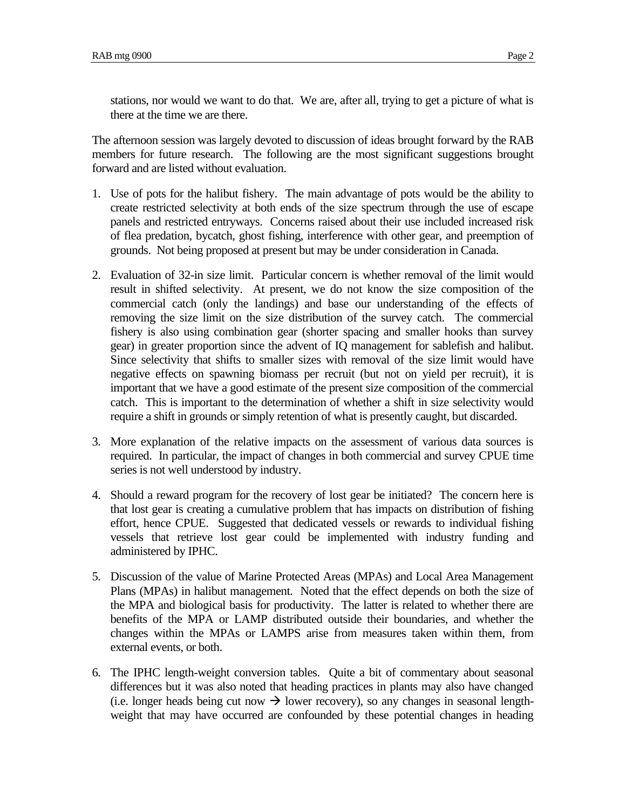stations, nor would we want to do that. We are, after all, trying to get a picture of what is there at the time we are there.

The afternoon session was largely devoted to discussion of ideas brought forward by the RAB members for future research. The following are the most significant suggestions brought forward and are listed without evaluation.

- 1. Use of pots for the halibut fishery. The main advantage of pots would be the ability to create restricted selectivity at both ends of the size spectrum through the use of escape panels and restricted entryways. Concerns raised about their use included increased risk of flea predation, bycatch, ghost fishing, interference with other gear, and preemption of grounds. Not being proposed at present but may be under consideration in Canada.
- 2. Evaluation of 32-in size limit. Particular concern is whether removal of the limit would result in shifted selectivity. At present, we do not know the size composition of the commercial catch (only the landings) and base our understanding of the effects of removing the size limit on the size distribution of the survey catch. The commercial fishery is also using combination gear (shorter spacing and smaller hooks than survey gear) in greater proportion since the advent of IQ management for sablefish and halibut. Since selectivity that shifts to smaller sizes with removal of the size limit would have negative effects on spawning biomass per recruit (but not on yield per recruit), it is important that we have a good estimate of the present size composition of the commercial catch. This is important to the determination of whether a shift in size selectivity would require a shift in grounds or simply retention of what is presently caught, but discarded.
- 3. More explanation of the relative impacts on the assessment of various data sources is required. In particular, the impact of changes in both commercial and survey CPUE time series is not well understood by industry.
- 4. Should a reward program for the recovery of lost gear be initiated? The concern here is that lost gear is creating a cumulative problem that has impacts on distribution of fishing effort, hence CPUE. Suggested that dedicated vessels or rewards to individual fishing vessels that retrieve lost gear could be implemented with industry funding and administered by IPHC.
- 5. Discussion of the value of Marine Protected Areas (MPAs) and Local Area Management Plans (MPAs) in halibut management. Noted that the effect depends on both the size of the MPA and biological basis for productivity. The latter is related to whether there are benefits of the MPA or LAMP distributed outside their boundaries, and whether the changes within the MPAs or LAMPS arise from measures taken within them, from external events, or both.
- 6. The IPHC length-weight conversion tables. Quite a bit of commentary about seasonal differences but it was also noted that heading practices in plants may also have changed (i.e. longer heads being cut now  $\rightarrow$  lower recovery), so any changes in seasonal lengthweight that may have occurred are confounded by these potential changes in heading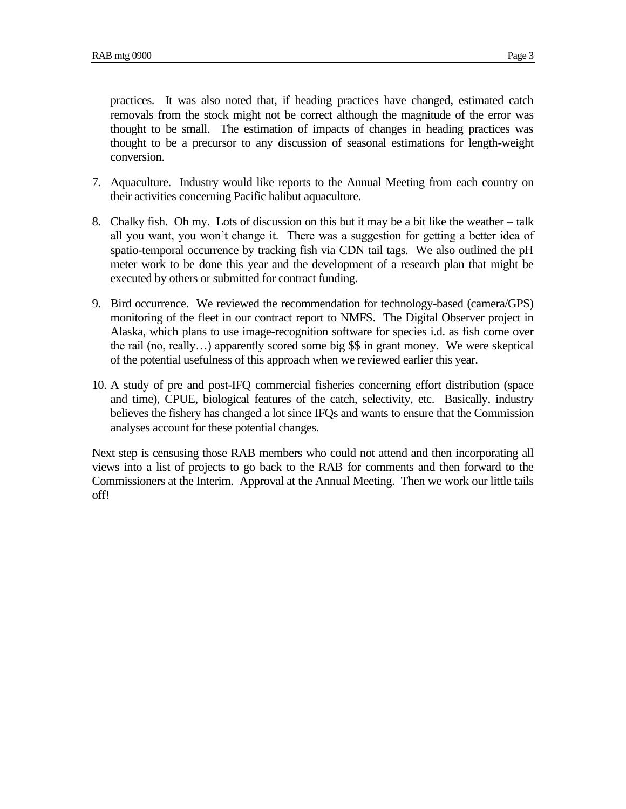practices. It was also noted that, if heading practices have changed, estimated catch removals from the stock might not be correct although the magnitude of the error was thought to be small. The estimation of impacts of changes in heading practices was thought to be a precursor to any discussion of seasonal estimations for length-weight conversion.

- 7. Aquaculture. Industry would like reports to the Annual Meeting from each country on their activities concerning Pacific halibut aquaculture.
- 8. Chalky fish. Oh my. Lots of discussion on this but it may be a bit like the weather talk all you want, you won't change it. There was a suggestion for getting a better idea of spatio-temporal occurrence by tracking fish via CDN tail tags. We also outlined the pH meter work to be done this year and the development of a research plan that might be executed by others or submitted for contract funding.
- 9. Bird occurrence. We reviewed the recommendation for technology-based (camera/GPS) monitoring of the fleet in our contract report to NMFS. The Digital Observer project in Alaska, which plans to use image-recognition software for species i.d. as fish come over the rail (no, really…) apparently scored some big \$\$ in grant money. We were skeptical of the potential usefulness of this approach when we reviewed earlier this year.
- 10. A study of pre and post-IFQ commercial fisheries concerning effort distribution (space and time), CPUE, biological features of the catch, selectivity, etc. Basically, industry believes the fishery has changed a lot since IFQs and wants to ensure that the Commission analyses account for these potential changes.

Next step is censusing those RAB members who could not attend and then incorporating all views into a list of projects to go back to the RAB for comments and then forward to the Commissioners at the Interim. Approval at the Annual Meeting. Then we work our little tails off!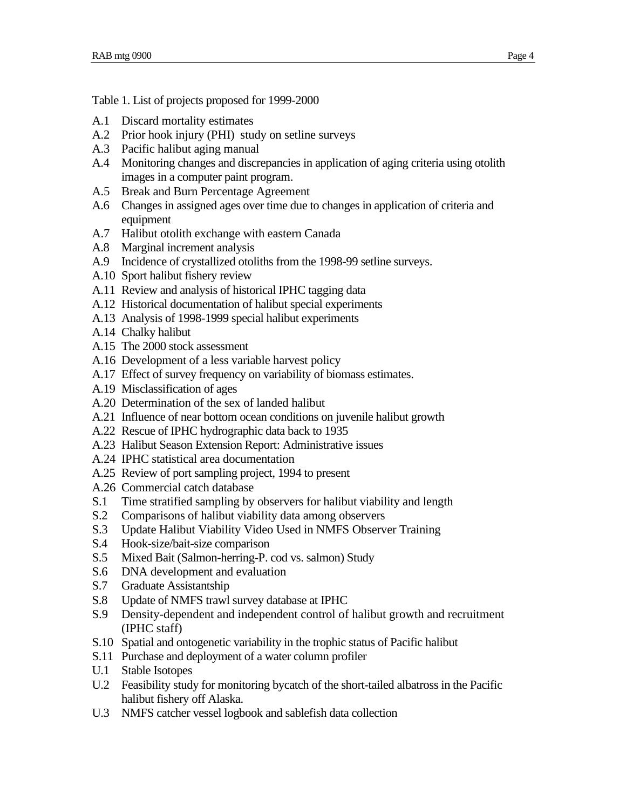Table 1. List of projects proposed for 1999-2000

- A.1 Discard mortality estimates
- A.2 Prior hook injury (PHI) study on setline surveys
- A.3 Pacific halibut aging manual
- A.4 Monitoring changes and discrepancies in application of aging criteria using otolith images in a computer paint program.
- A.5 Break and Burn Percentage Agreement
- A.6 Changes in assigned ages over time due to changes in application of criteria and equipment
- A.7 Halibut otolith exchange with eastern Canada
- A.8 Marginal increment analysis
- A.9 Incidence of crystallized otoliths from the 1998-99 setline surveys.
- A.10 Sport halibut fishery review
- A.11 Review and analysis of historical IPHC tagging data
- A.12 Historical documentation of halibut special experiments
- A.13 Analysis of 1998-1999 special halibut experiments
- A.14 Chalky halibut
- A.15 The 2000 stock assessment
- A.16 Development of a less variable harvest policy
- A.17 Effect of survey frequency on variability of biomass estimates.
- A.19 Misclassification of ages
- A.20 Determination of the sex of landed halibut
- A.21 Influence of near bottom ocean conditions on juvenile halibut growth
- A.22 Rescue of IPHC hydrographic data back to 1935
- A.23 Halibut Season Extension Report: Administrative issues
- A.24 IPHC statistical area documentation
- A.25 Review of port sampling project, 1994 to present
- A.26 Commercial catch database
- S.1 Time stratified sampling by observers for halibut viability and length
- S.2 Comparisons of halibut viability data among observers
- S.3 Update Halibut Viability Video Used in NMFS Observer Training
- S.4 Hook-size/bait-size comparison
- S.5 Mixed Bait (Salmon-herring-P. cod vs. salmon) Study
- S.6 DNA development and evaluation
- S.7 Graduate Assistantship
- S.8 Update of NMFS trawl survey database at IPHC
- S.9 Density-dependent and independent control of halibut growth and recruitment (IPHC staff)
- S.10 Spatial and ontogenetic variability in the trophic status of Pacific halibut
- S.11 Purchase and deployment of a water column profiler
- U.1 Stable Isotopes
- U.2 Feasibility study for monitoring bycatch of the short-tailed albatross in the Pacific halibut fishery off Alaska.
- U.3 NMFS catcher vessel logbook and sablefish data collection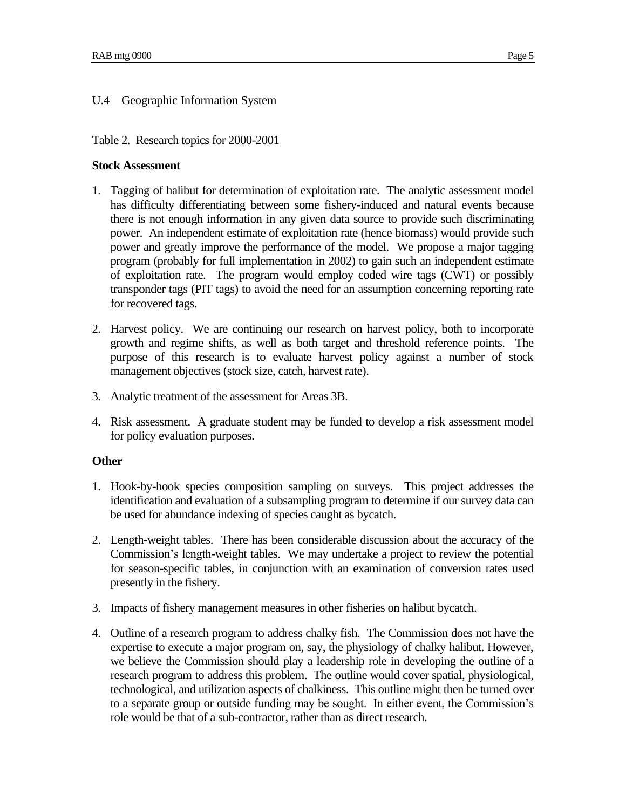## U.4 Geographic Information System

### Table 2. Research topics for 2000-2001

#### **Stock Assessment**

- 1. Tagging of halibut for determination of exploitation rate. The analytic assessment model has difficulty differentiating between some fishery-induced and natural events because there is not enough information in any given data source to provide such discriminating power. An independent estimate of exploitation rate (hence biomass) would provide such power and greatly improve the performance of the model. We propose a major tagging program (probably for full implementation in 2002) to gain such an independent estimate of exploitation rate. The program would employ coded wire tags (CWT) or possibly transponder tags (PIT tags) to avoid the need for an assumption concerning reporting rate for recovered tags.
- 2. Harvest policy. We are continuing our research on harvest policy, both to incorporate growth and regime shifts, as well as both target and threshold reference points. The purpose of this research is to evaluate harvest policy against a number of stock management objectives (stock size, catch, harvest rate).
- 3. Analytic treatment of the assessment for Areas 3B.
- 4. Risk assessment. A graduate student may be funded to develop a risk assessment model for policy evaluation purposes.

### **Other**

- 1. Hook-by-hook species composition sampling on surveys. This project addresses the identification and evaluation of a subsampling program to determine if our survey data can be used for abundance indexing of species caught as bycatch.
- 2. Length-weight tables. There has been considerable discussion about the accuracy of the Commission's length-weight tables. We may undertake a project to review the potential for season-specific tables, in conjunction with an examination of conversion rates used presently in the fishery.
- 3. Impacts of fishery management measures in other fisheries on halibut bycatch.
- 4. Outline of a research program to address chalky fish. The Commission does not have the expertise to execute a major program on, say, the physiology of chalky halibut. However, we believe the Commission should play a leadership role in developing the outline of a research program to address this problem. The outline would cover spatial, physiological, technological, and utilization aspects of chalkiness. This outline might then be turned over to a separate group or outside funding may be sought. In either event, the Commission's role would be that of a sub-contractor, rather than as direct research.